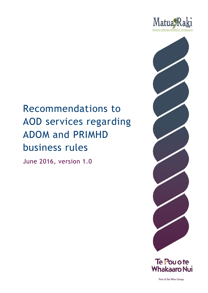



#### Te Pou o te **Whakaaro Nui**

Part of the Wise Group

# Recommendations to AOD services regarding ADOM and PRIMHD business rules

June 2016, version 1.0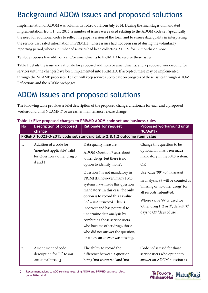## Background ADOM issues and proposed solutions

Implementation of ADOM was voluntarily rolled out from July 2014. During the final stages of mandated implementation, from 1 July 2015, a number of issues were raised relating to the ADOM code set. Specifically the need for additional codes to reflect the paper version of the form and to ensure data quality in interpreting the service user rated information in PRIMHD. These issues had not been raised during the voluntarily reporting period, where a number of services had been collecting ADOM for 12 months or more.

Te Pou proposes five additions and/or amendments to PRIMHD to resolve these issues.

Table 1 details the issue and rationale for proposed additions or amendments, and a proposed workaround for services until the changes have been implemented into PRIMHD. If accepted, these may be implemented through the NCAMP processes. Te Pou will keep services up to date on progress of these issues through ADOM Reflections and the ADOM webpages.

#### ADOM issues and proposed solutions

The following table provides a brief description of the proposed change, a rationale for each and a proposed workaround until NCAMP17 or an earlier maintenance release change.

| <b>No</b> | <b>Description of proposed</b>                                                                   | <b>Rationale for request</b>                                                                                                                                                                                                                                                                                                                                                                                                                                                                                                             | Proposed workaround until                                                                                                                                                                                                                                                                                                                      |
|-----------|--------------------------------------------------------------------------------------------------|------------------------------------------------------------------------------------------------------------------------------------------------------------------------------------------------------------------------------------------------------------------------------------------------------------------------------------------------------------------------------------------------------------------------------------------------------------------------------------------------------------------------------------------|------------------------------------------------------------------------------------------------------------------------------------------------------------------------------------------------------------------------------------------------------------------------------------------------------------------------------------------------|
|           | change                                                                                           | PRIMHD 10023-3-2015 code set standard table 2.8.1.2 outcome item value                                                                                                                                                                                                                                                                                                                                                                                                                                                                   | NCAMP17                                                                                                                                                                                                                                                                                                                                        |
| 1.        | Addition of a code for<br>'none/not applicable' valid<br>for Question 7 other drug b,<br>d and f | Data quality measure.<br>ADOM Question 7 asks about<br>'other drugs' but there is no<br>option to identify 'none'.<br>Question 7 is not mandatory in<br>PRIMHD, however, many PMS<br>systems have made this question<br>mandatory. In this case, the only<br>option is to record this as value<br>'99' – not answered. This is<br>incorrect and has potential to<br>undermine data analysis by<br>combining those service users<br>who have no other drugs, those<br>who did not answer the question,<br>or where an answer was missing. | Change this question to be<br>optional if it has been made<br>mandatory in the PMS system.<br><b>OR</b><br>Use value '99' not answered.<br>In analysis, 99 will be counted as<br>'missing or no other drugs' for<br>all records submitted.<br>Where value '99' is used for<br>'other drug 1, 2 or 3', default '0'<br>days to Q7 'days of use'. |
| 2.        | Amendment of code                                                                                | The ability to record the                                                                                                                                                                                                                                                                                                                                                                                                                                                                                                                | Code '99' is used for those                                                                                                                                                                                                                                                                                                                    |
|           | description for '99' to not                                                                      | difference between a question                                                                                                                                                                                                                                                                                                                                                                                                                                                                                                            | service users who opt not to                                                                                                                                                                                                                                                                                                                   |
|           | answered/missing                                                                                 | being 'not answered' and 'not                                                                                                                                                                                                                                                                                                                                                                                                                                                                                                            | answer an ADOM question as                                                                                                                                                                                                                                                                                                                     |

#### **Table 1: Five proposed changes to PRIMHD ADOM code set and business rules**



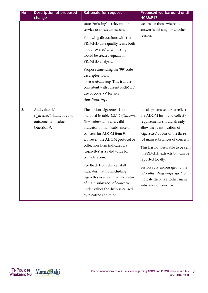| <b>No</b> | <b>Description of proposed</b><br>change                                                | <b>Rationale for request</b>                                                                                                                                                                                                                                                                                                                                                                                                                                                                    | Proposed workaround until<br>NCAMP17                                                                                                                                                                                                                                                                                                                                                                                            |
|-----------|-----------------------------------------------------------------------------------------|-------------------------------------------------------------------------------------------------------------------------------------------------------------------------------------------------------------------------------------------------------------------------------------------------------------------------------------------------------------------------------------------------------------------------------------------------------------------------------------------------|---------------------------------------------------------------------------------------------------------------------------------------------------------------------------------------------------------------------------------------------------------------------------------------------------------------------------------------------------------------------------------------------------------------------------------|
|           |                                                                                         | stated/missing' is relevant for a<br>service user rated measure.<br>Following discussions with the<br>PRIMHD data quality team, both<br>'not answered' and 'missing'<br>would be treated equally in<br>PRIMHD analysis.<br>Propose amending the '99' code<br>descriptor to not<br>answered/missing. This is more<br>consistent with current PRIMHD<br>use of code '99' for 'not<br>stated/missing'.                                                                                             | well as for those where the<br>answer is missing for another<br>reason.                                                                                                                                                                                                                                                                                                                                                         |
| 3.        | Add value 'L' -<br>cigarettes/tobacco as valid<br>outcome item value for<br>Question 9. | The option 'cigarettes' is not<br>included in table 2.8.1.2 (Outcome<br>item value) table as a valid<br>indicator of main substance of<br>concern for ADOM item 9.<br>However, the ADOM protocol or<br>collection form indicates Q8<br>'cigarettes' is a valid value for<br>consideration.<br>Feedback from clinical staff<br>indicates that not including<br>cigarettes as a potential indicator<br>of main substance of concern<br>under values the distress caused<br>by nicotine addiction. | Local systems set up to reflect<br>the ADOM form and collection<br>requirements should already<br>allow the identification of<br>'cigarettes' as one of the three<br>(3) main substances of concern.<br>This has not been able to be sent<br>in PRIMHD extracts but can be<br>reported locally.<br>Services are encouraged to use<br>'K' - other drug unspecified to<br>indicate there is another main<br>substance of concern. |

Te Pou o te Matua Raki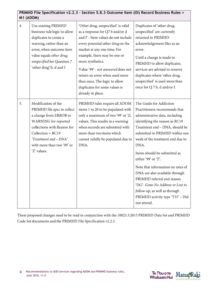| PRIMHD File Specification v2.2.3 - Section 5.8.3 Outcome Item (OI) Record Business Rules =<br>M1 (ADOM) |                                                                                                                                                                                                                                  |                                                                                                                                                                                                                                                                                                                                                                                                    |                                                                                                                                                                                                                                                                                                                                                                                                                                                                                                                   |  |  |
|---------------------------------------------------------------------------------------------------------|----------------------------------------------------------------------------------------------------------------------------------------------------------------------------------------------------------------------------------|----------------------------------------------------------------------------------------------------------------------------------------------------------------------------------------------------------------------------------------------------------------------------------------------------------------------------------------------------------------------------------------------------|-------------------------------------------------------------------------------------------------------------------------------------------------------------------------------------------------------------------------------------------------------------------------------------------------------------------------------------------------------------------------------------------------------------------------------------------------------------------------------------------------------------------|--|--|
| 4.                                                                                                      | Use existing PRIMHD<br>business rule logic to allow<br>duplicates to create a<br>warning, rather than an<br>error, when outcome item<br>value equals other drug,<br>unspecified for Question 7<br>'other drug' b, d and f        | 'Other drug, unspecified' is valid<br>as a response for Q7 b and/or d<br>and f - Item values do not include<br>every potential other drug on the<br>market at any one time. For<br>example, there may be one or<br>more synthetics.<br>Value '99' - not answered does not<br>return an error when used more<br>than once. The logic to allow<br>duplicates for some values is<br>already in place. | Duplicates of 'other drug,<br>unspecified' are currently<br>returned in PRIMHD<br>acknowledgement files as an<br>error.<br>Until a change is made to<br>PRIMHD to allow duplicates,<br>services are advised to remove<br>duplicates where 'other drug,<br>unspecified' is used more than<br>once for Q 7 b, d and/or f.                                                                                                                                                                                           |  |  |
| 5.                                                                                                      | Modification of the<br>PRIMHD file spec to reflect<br>a change from ERROR to<br>WARNING for reported<br>collections with Reason for<br>$Collection = RC19$<br>'Treatment end - DNA'<br>with more than two '99' or<br>'Z' values. | PRIMHD rules require all ADOM<br>items 1 to 20 to be populated with<br>only a maximum of two '99' or 'Z;<br>values. This results in a warning<br>when records are submitted with<br>more than two items which<br>cannot validly be populated due to<br>DNA.                                                                                                                                        | The Guide for Addiction<br>Practitioners recommends that<br>administrative data, including<br>identifying the reason as RC19<br>Treatment end - DNA, should be<br>submitted to PRIMHD within one<br>week of the treatment end due to<br>DNA.<br>Items should be submitted as<br>either '99' or 'Z'.<br>Note that information on rates of<br>DNA are also available through<br>PRIMHD referral end reason<br>'DG'- Gone No Address or Lost to<br>follow-up, as well as through<br>PRIMHD activity type 'T35' – Did |  |  |

These proposed changes need to be read in conjunction with the 10023.3:2015 PRIMHD Data Set and PRIMHD Code Set documents and the PRIMHD File Specification v2.2.3.